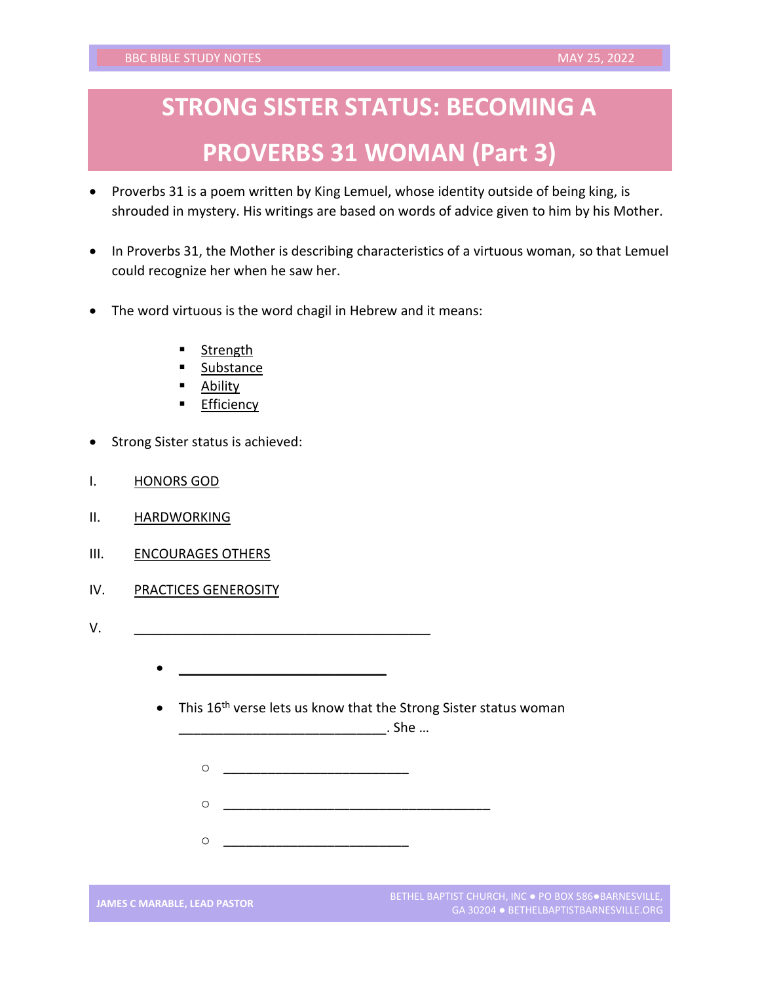## **STRONG SISTER STATUS: BECOMING A PROVERBS 31 WOMAN (Part 3)**

- Proverbs 31 is a poem written by King Lemuel, whose identity outside of being king, is shrouded in mystery. His writings are based on words of advice given to him by his Mother.
- In Proverbs 31, the Mother is describing characteristics of a virtuous woman, so that Lemuel could recognize her when he saw her.
- The word virtuous is the word chagil in Hebrew and it means:
	- Strength
	- **Substance**
	- **Ability**
	- Efficiency
- Strong Sister status is achieved:
- I. HONORS GOD
- II. HARDWORKING
- III. **ENCOURAGES OTHERS**
- IV. PRACTICES GENEROSITY
- V.
	- \_\_\_\_\_\_\_\_\_\_\_\_\_\_\_\_\_\_\_\_\_\_\_\_\_\_\_\_
	- This 16<sup>th</sup> verse lets us know that the Strong Sister status woman

\_\_\_\_\_\_\_\_\_\_\_\_\_\_\_\_\_\_\_\_\_\_\_\_\_\_\_\_. She …

- o \_\_\_\_\_\_\_\_\_\_\_\_\_\_\_\_\_\_\_\_\_\_\_\_\_\_\_\_\_\_\_\_\_\_\_\_
- o <u>\_\_\_\_\_\_\_\_\_\_\_\_\_\_\_\_\_\_\_\_\_\_\_\_\_\_\_\_</u>

o <u>\_\_\_\_\_\_\_\_\_\_\_\_\_\_\_\_\_\_\_\_\_\_\_\_\_\_\_</u>